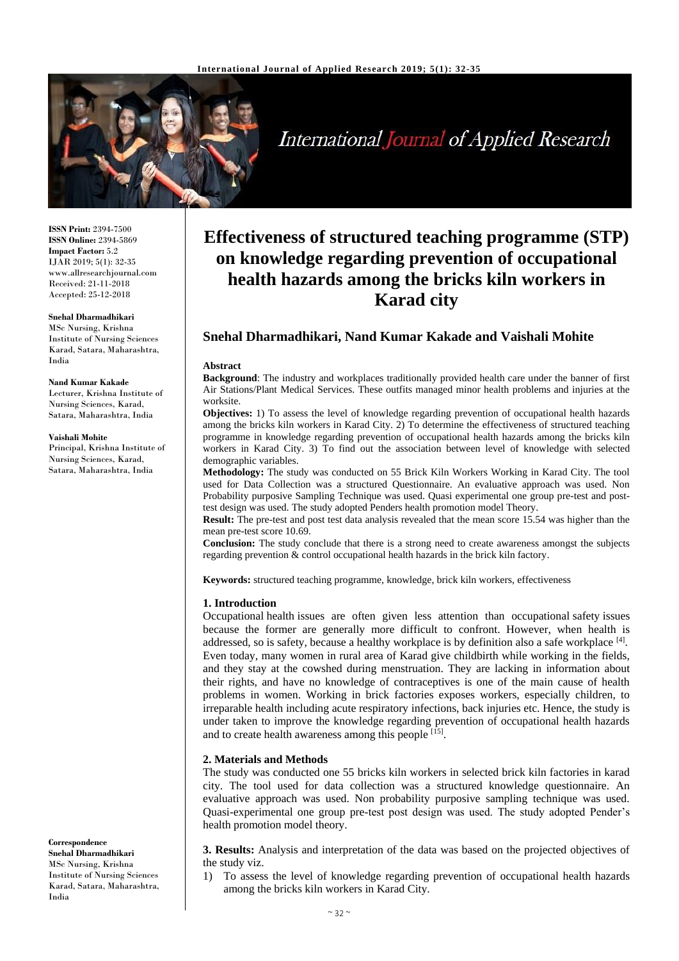

# **International Journal of Applied Research**

**ISSN Print:** 2394-7500 **ISSN Online:** 2394-5869 **Impact Factor:** 5.2 IJAR 2019; 5(1): 32-35 www.allresearchjournal.com Received: 21-11-2018 Accepted: 25-12-2018

#### **Snehal Dharmadhikari**

MSc Nursing, Krishna Institute of Nursing Sciences Karad, Satara, Maharashtra, India

#### **Nand Kumar Kakade**

Lecturer, Krishna Institute of Nursing Sciences, Karad, Satara, Maharashtra, India

#### **Vaishali Mohite**

Principal, Krishna Institute of Nursing Sciences, Karad, Satara, Maharashtra, India

**Correspondence Snehal Dharmadhikari** MSc Nursing, Krishna Institute of Nursing Sciences Karad, Satara, Maharashtra, India

# **Effectiveness of structured teaching programme (STP) on knowledge regarding prevention of occupational health hazards among the bricks kiln workers in Karad city**

# **Snehal Dharmadhikari, Nand Kumar Kakade and Vaishali Mohite**

#### **Abstract**

**Background**: The industry and workplaces traditionally provided health care under the banner of first Air Stations/Plant Medical Services. These outfits managed minor health problems and injuries at the worksite.

**Objectives:** 1) To assess the level of knowledge regarding prevention of occupational health hazards among the bricks kiln workers in Karad City. 2) To determine the effectiveness of structured teaching programme in knowledge regarding prevention of occupational health hazards among the bricks kiln workers in Karad City. 3) To find out the association between level of knowledge with selected demographic variables.

**Methodology:** The study was conducted on 55 Brick Kiln Workers Working in Karad City. The tool used for Data Collection was a structured Questionnaire. An evaluative approach was used. Non Probability purposive Sampling Technique was used. Quasi experimental one group pre-test and posttest design was used. The study adopted Penders health promotion model Theory.

**Result:** The pre-test and post test data analysis revealed that the mean score 15.54 was higher than the mean pre-test score 10.69.

**Conclusion:** The study conclude that there is a strong need to create awareness amongst the subjects regarding prevention & control occupational health hazards in the brick kiln factory.

**Keywords:** structured teaching programme, knowledge, brick kiln workers, effectiveness

#### **1. Introduction**

Occupational health issues are often given less attention than occupational safety issues because the former are generally more difficult to confront. However, when health is addressed, so is safety, because a healthy workplace is by definition also a safe workplace [4]. Even today, many women in rural area of Karad give childbirth while working in the fields, and they stay at the cowshed during menstruation. They are lacking in information about their rights, and have no knowledge of contraceptives is one of the main cause of health problems in women. Working in brick factories exposes workers, especially children, to irreparable health including acute respiratory infections, back injuries etc. Hence, the study is under taken to improve the knowledge regarding prevention of occupational health hazards and to create health awareness among this people [15].

#### **2. Materials and Methods**

The study was conducted one 55 bricks kiln workers in selected brick kiln factories in karad city. The tool used for data collection was a structured knowledge questionnaire. An evaluative approach was used. Non probability purposive sampling technique was used. Quasi-experimental one group pre-test post design was used. The study adopted Pender's health promotion model theory.

**3. Results:** Analysis and interpretation of the data was based on the projected objectives of the study viz.

1) To assess the level of knowledge regarding prevention of occupational health hazards among the bricks kiln workers in Karad City.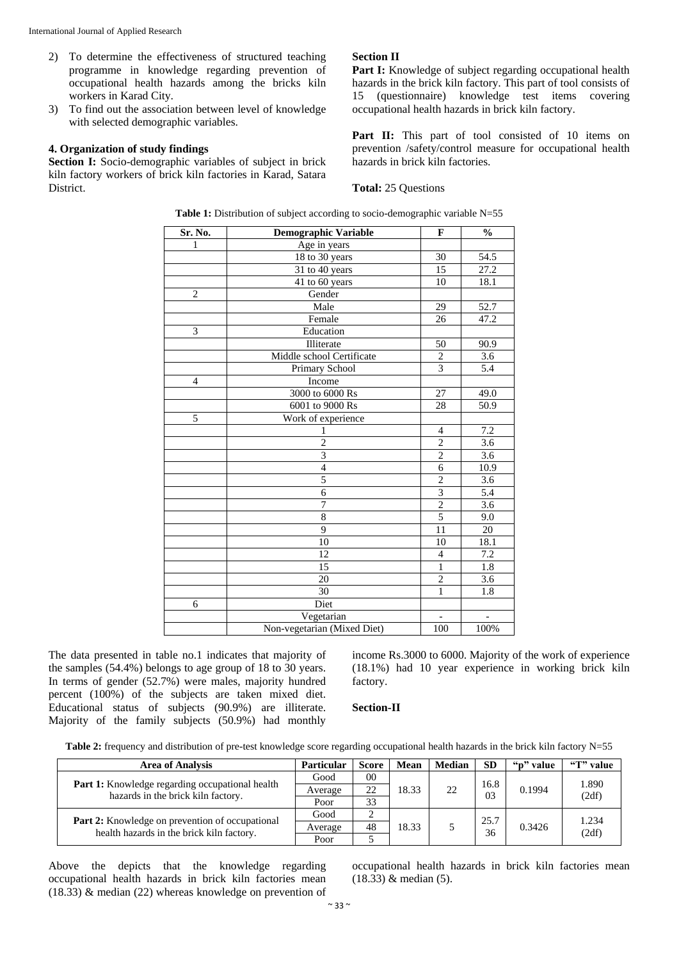- 2) To determine the effectiveness of structured teaching programme in knowledge regarding prevention of occupational health hazards among the bricks kiln workers in Karad City.
- 3) To find out the association between level of knowledge with selected demographic variables.

# **4. Organization of study findings**

Section I: Socio-demographic variables of subject in brick kiln factory workers of brick kiln factories in Karad, Satara District.

### **Section II**

Part I: Knowledge of subject regarding occupational health hazards in the brick kiln factory. This part of tool consists of 15 (questionnaire) knowledge test items covering occupational health hazards in brick kiln factory.

Part II: This part of tool consisted of 10 items on prevention /safety/control measure for occupational health hazards in brick kiln factories.

#### **Total:** 25 Questions

| Sr. No.        | Demographic Variable        | $\mathbf{F}$   | $\frac{0}{0}$    |
|----------------|-----------------------------|----------------|------------------|
| $\mathbf{1}$   | Age in years                |                |                  |
|                | 18 to 30 years              | 30             | 54.5             |
|                | 31 to 40 years              | 15             | 27.2             |
|                | $\overline{41}$ to 60 years | 10             | 18.1             |
| $\mathbf{2}$   | Gender                      |                |                  |
|                | Male                        | 29             | 52.7             |
|                | Female                      | 26             | 47.2             |
| $\overline{3}$ | Education                   |                |                  |
|                | Illiterate                  | 50             | 90.9             |
|                | Middle school Certificate   | $\overline{c}$ | 3.6              |
|                | Primary School              | $\overline{3}$ | 5.4              |
| $\overline{4}$ | Income                      |                |                  |
|                | 3000 to 6000 Rs             | 27             | 49.0             |
|                | 6001 to 9000 Rs             | 28             | 50.9             |
| $\overline{5}$ | Work of experience          |                |                  |
|                | $\mathbf{1}$                | $\overline{4}$ | $\overline{7.2}$ |
|                | $\overline{2}$              | $\overline{2}$ | 3.6              |
|                | $\overline{3}$              | $\overline{2}$ | $\overline{3.6}$ |
|                | $\overline{4}$              | $\overline{6}$ | 10.9             |
|                | 5                           | $\overline{2}$ | $\overline{3.6}$ |
|                | $\overline{6}$              | $\overline{3}$ | 5.4              |
|                | 7                           | $\overline{2}$ | 3.6              |
|                | 8                           | 5              | 9.0              |
|                | 9                           | 11             | 20               |
|                | $\overline{10}$             | 10             | 18.1             |
|                | 12                          | 4              | 7.2              |
|                | 15                          | $\overline{1}$ | 1.8              |
|                | 20                          | $\overline{2}$ | 3.6              |
|                | 30                          | $\overline{1}$ | 1.8              |
| 6              | Diet                        |                |                  |
|                | Vegetarian                  |                |                  |
|                | Non-vegetarian (Mixed Diet) | 100            | 100%             |

**Table 1:** Distribution of subject according to socio-demographic variable N=55

The data presented in table no.1 indicates that majority of the samples (54.4%) belongs to age group of 18 to 30 years. In terms of gender (52.7%) were males, majority hundred percent (100%) of the subjects are taken mixed diet. Educational status of subjects (90.9%) are illiterate. Majority of the family subjects (50.9%) had monthly

income Rs.3000 to 6000. Majority of the work of experience (18.1%) had 10 year experience in working brick kiln factory.

## **Section-II**

Table 2: frequency and distribution of pre-test knowledge score regarding occupational health hazards in the brick kiln factory N=55

| <b>Area of Analysis</b>                                                                             | <b>Particular</b> | Score | Mean  | <b>Median</b> | <b>SD</b>              | "p" value | "T" value      |
|-----------------------------------------------------------------------------------------------------|-------------------|-------|-------|---------------|------------------------|-----------|----------------|
| Part 1: Knowledge regarding occupational health                                                     | Good              | 00    | 18.33 | 22            | 16.8<br>0 <sup>3</sup> | 0.1994    | 1.890          |
| hazards in the brick kiln factory.                                                                  | Average           | 22    |       |               |                        |           | (2df)          |
|                                                                                                     | Poor              | 33    |       |               |                        |           |                |
|                                                                                                     | Good              |       | 18.33 |               | 25.7<br>36             | 0.3426    | 1.234<br>(2df) |
| <b>Part 2:</b> Knowledge on prevention of occupational<br>health hazards in the brick kiln factory. | Average           | 48    |       |               |                        |           |                |
|                                                                                                     | Poor              |       |       |               |                        |           |                |

Above the depicts that the knowledge regarding occupational health hazards in brick kiln factories mean (18.33) & median (22) whereas knowledge on prevention of

occupational health hazards in brick kiln factories mean (18.33) & median (5).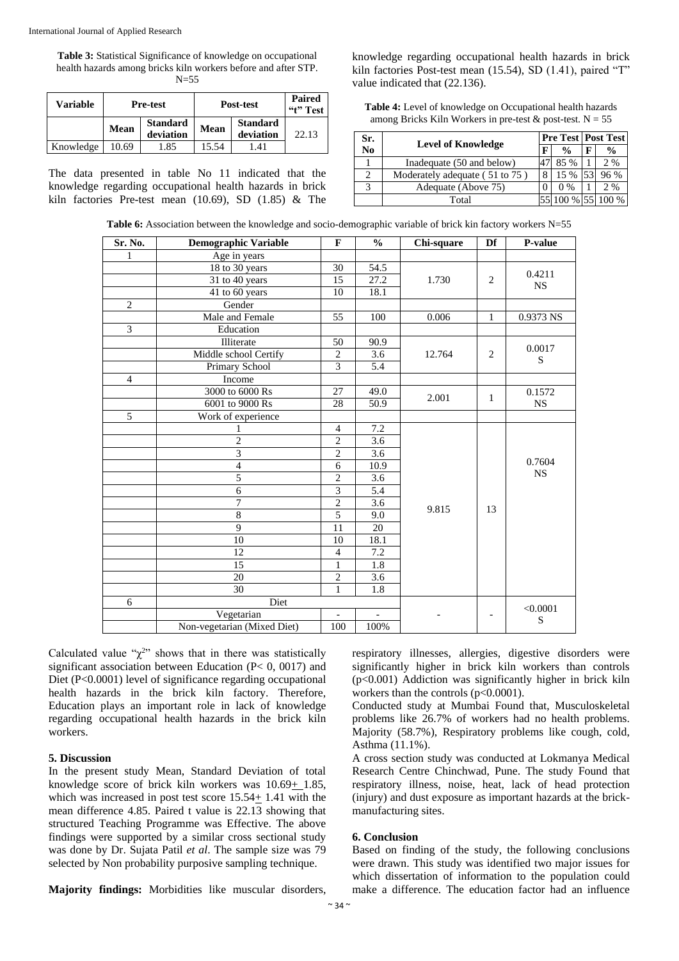**Table 3:** Statistical Significance of knowledge on occupational health hazards among bricks kiln workers before and after STP. N=55

| Variable  |       | <b>Pre-test</b>              |       | Post-test                    |       |
|-----------|-------|------------------------------|-------|------------------------------|-------|
|           | Mean  | <b>Standard</b><br>deviation | Mean  | <b>Standard</b><br>deviation | 22.13 |
| Knowledge | 10.69 | .85                          | 15.54 | .41                          |       |

The data presented in table No 11 indicated that the knowledge regarding occupational health hazards in brick kiln factories Pre-test mean (10.69), SD (1.85) & The

knowledge regarding occupational health hazards in brick kiln factories Post-test mean (15.54), SD (1.41), paired "T" value indicated that (22.136).

**Table 4:** Level of knowledge on Occupational health hazards among Bricks Kiln Workers in pre-test  $&$  post-test. N = 55

| Sr. | <b>Level of Knowledge</b>      |   |               | <b>Pre Test   Post Test</b> |               |
|-----|--------------------------------|---|---------------|-----------------------------|---------------|
| No  |                                | F | $\frac{0}{0}$ | F                           | $\frac{0}{0}$ |
|     | Inadequate (50 and below)      |   | 85 %          |                             | 2%            |
|     | Moderately adequate (51 to 75) |   | 15 %          |                             | 96 %          |
|     | Adequate (Above 75)            |   | $0\%$         |                             | 2 %           |
|     | Total                          |   |               |                             |               |

**Table 6:** Association between the knowledge and socio-demographic variable of brick kin factory workers N=55

| Sr. No.        | <b>Demographic Variable</b> | $\mathbf{F}$            | $\frac{0}{0}$    | Chi-square | Df           | P-value                 |
|----------------|-----------------------------|-------------------------|------------------|------------|--------------|-------------------------|
| 1              | Age in years                |                         |                  |            |              |                         |
|                | 18 to 30 years              | 30                      | 54.5             |            |              |                         |
|                | 31 to 40 years              | 15                      | 27.2             | 1.730      | 2            | 0.4211<br><b>NS</b>     |
|                | 41 to 60 years              | 10                      | 18.1             |            |              |                         |
| $\overline{c}$ | Gender                      |                         |                  |            |              |                         |
|                | Male and Female             | 55                      | 100              | 0.006      | $\mathbf{1}$ | 0.9373 NS               |
| $\overline{3}$ | Education                   |                         |                  |            |              |                         |
|                | Illiterate                  | 50                      | 90.9             |            |              |                         |
|                | Middle school Certify       | $\overline{c}$          | $\overline{3.6}$ | 12.764     | 2            | 0.0017<br>S             |
|                | Primary School              | $\overline{3}$          | 5.4              |            |              |                         |
| $\overline{4}$ | Income                      |                         |                  |            |              |                         |
|                | 3000 to 6000 Rs             | 27                      | 49.0             |            |              | 0.1572                  |
|                | 6001 to 9000 Rs             | 28                      | 50.9             | 2.001      | $\mathbf{1}$ | <b>NS</b>               |
| 5              | Work of experience          |                         |                  |            |              |                         |
|                | 1                           | $\overline{4}$          | 7.2              |            |              | 0.7604<br><b>NS</b>     |
|                | $\overline{2}$              | $\overline{c}$          | 3.6              |            |              |                         |
|                | $\overline{3}$              | $\overline{2}$          | 3.6              |            |              |                         |
|                | $\overline{4}$              | 6                       | 10.9             |            |              |                         |
|                | 5                           | $\overline{c}$          | 3.6              |            |              |                         |
|                | 6                           | $\overline{\mathbf{3}}$ | 5.4              |            | 13           |                         |
|                | 7                           | $\overline{2}$          | 3.6              |            |              |                         |
|                | $\overline{8}$              | 5                       | 9.0              | 9.815      |              |                         |
|                | $\overline{9}$              | 11                      | 20               |            |              |                         |
|                | 10                          | 10                      | 18.1             |            |              |                         |
|                | 12                          | $\overline{4}$          | $\overline{7.2}$ |            |              |                         |
|                | 15                          | $\mathbf{1}$            | 1.8              |            |              |                         |
|                | 20                          | $\overline{2}$          | 3.6              |            |              |                         |
|                | 30                          | $\mathbf{1}$            | 1.8              |            |              |                         |
| 6              | Diet                        |                         |                  |            |              |                         |
|                | Vegetarian                  |                         |                  |            |              | < 0.0001<br>$\mathbf S$ |
|                | Non-vegetarian (Mixed Diet) | 100                     | 100%             |            |              |                         |

Calculated value " $\chi^{2}$ " shows that in there was statistically significant association between Education (P< 0, 0017) and Diet (P<0.0001) level of significance regarding occupational health hazards in the brick kiln factory. Therefore, Education plays an important role in lack of knowledge regarding occupational health hazards in the brick kiln workers.

#### **5. Discussion**

In the present study Mean, Standard Deviation of total knowledge score of brick kiln workers was 10.69+ 1.85, which was increased in post test score  $15.54 \pm 1.41$  with the mean difference 4.85. Paired t value is 22.13 showing that structured Teaching Programme was Effective. The above findings were supported by a similar cross sectional study was done by Dr. Sujata Patil *et al*. The sample size was 79 selected by Non probability purposive sampling technique.

**Majority findings:** Morbidities like muscular disorders,

respiratory illnesses, allergies, digestive disorders were significantly higher in brick kiln workers than controls (p<0.001) Addiction was significantly higher in brick kiln workers than the controls (p<0.0001).

Conducted study at Mumbai Found that, Musculoskeletal problems like 26.7% of workers had no health problems. Majority (58.7%), Respiratory problems like cough, cold, Asthma (11.1%).

A cross section study was conducted at Lokmanya Medical Research Centre Chinchwad, Pune. The study Found that respiratory illness, noise, heat, lack of head protection (injury) and dust exposure as important hazards at the brickmanufacturing sites.

#### **6. Conclusion**

Based on finding of the study, the following conclusions were drawn. This study was identified two major issues for which dissertation of information to the population could make a difference. The education factor had an influence